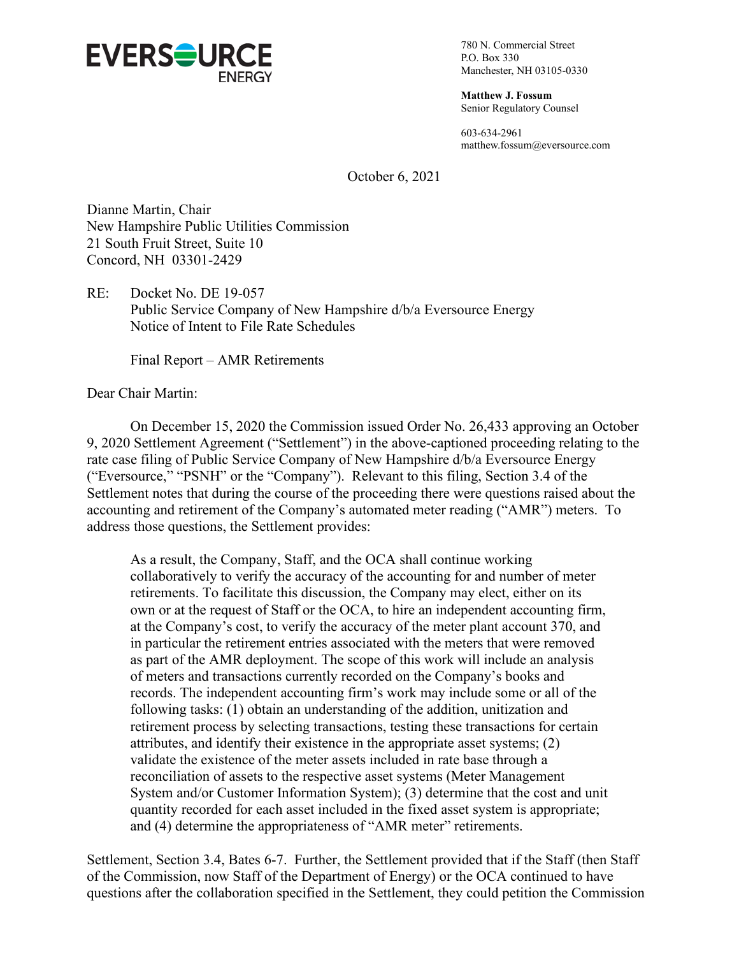

780 N. Commercial Street P.O. Box 330 Manchester, NH 03105-0330

**Matthew J. Fossum** Senior Regulatory Counsel

603-634-2961 matthew.fossum@eversource.com

October 6, 2021

Dianne Martin, Chair New Hampshire Public Utilities Commission 21 South Fruit Street, Suite 10 Concord, NH 03301-2429

RE: Docket No. DE 19-057 Public Service Company of New Hampshire d/b/a Eversource Energy Notice of Intent to File Rate Schedules

Final Report – AMR Retirements

Dear Chair Martin:

On December 15, 2020 the Commission issued Order No. 26,433 approving an October 9, 2020 Settlement Agreement ("Settlement") in the above-captioned proceeding relating to the rate case filing of Public Service Company of New Hampshire d/b/a Eversource Energy ("Eversource," "PSNH" or the "Company"). Relevant to this filing, Section 3.4 of the Settlement notes that during the course of the proceeding there were questions raised about the accounting and retirement of the Company's automated meter reading ("AMR") meters. To address those questions, the Settlement provides:

As a result, the Company, Staff, and the OCA shall continue working collaboratively to verify the accuracy of the accounting for and number of meter retirements. To facilitate this discussion, the Company may elect, either on its own or at the request of Staff or the OCA, to hire an independent accounting firm, at the Company's cost, to verify the accuracy of the meter plant account 370, and in particular the retirement entries associated with the meters that were removed as part of the AMR deployment. The scope of this work will include an analysis of meters and transactions currently recorded on the Company's books and records. The independent accounting firm's work may include some or all of the following tasks: (1) obtain an understanding of the addition, unitization and retirement process by selecting transactions, testing these transactions for certain attributes, and identify their existence in the appropriate asset systems; (2) validate the existence of the meter assets included in rate base through a reconciliation of assets to the respective asset systems (Meter Management System and/or Customer Information System); (3) determine that the cost and unit quantity recorded for each asset included in the fixed asset system is appropriate; and (4) determine the appropriateness of "AMR meter" retirements.

Settlement, Section 3.4, Bates 6-7. Further, the Settlement provided that if the Staff (then Staff of the Commission, now Staff of the Department of Energy) or the OCA continued to have questions after the collaboration specified in the Settlement, they could petition the Commission